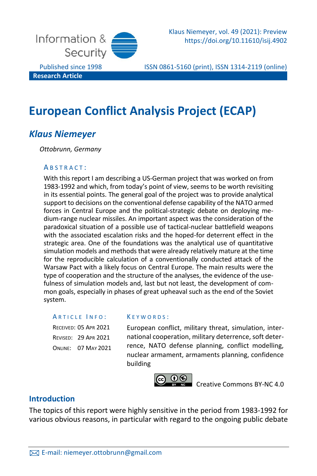

Klaus Niemeyer, vol. 49 (2021): Preview https://doi.org/10.11610/isij.4902

Published since 1998 ISSN 0861-5160 (print), ISSN 1314-2119 (online)

# **European Conflict Analysis Project (ECAP)**

# *Klaus Niemeyer*

*Ottobrunn, Germany*

#### A B S T R A C T :

With this report I am describing a US-German project that was worked on from 1983-1992 and which, from today's point of view, seems to be worth revisiting in its essential points. The general goal of the project was to provide analytical support to decisions on the conventional defense capability of the NATO armed forces in Central Europe and the political-strategic debate on deploying medium-range nuclear missiles. An important aspect was the consideration of the paradoxical situation of a possible use of tactical-nuclear battlefield weapons with the associated escalation risks and the hoped-for deterrent effect in the strategic area. One of the foundations was the analytical use of quantitative simulation models and methods that were already relatively mature at the time for the reproducible calculation of a conventionally conducted attack of the Warsaw Pact with a likely focus on Central Europe. The main results were the type of cooperation and the structure of the analyses, the evidence of the usefulness of simulation models and, last but not least, the development of common goals, especially in phases of great upheaval such as the end of the Soviet system.

### ARTICLE INFO:

RECEIVED: 05 APR 2021 REVISED: 29 APR 2021 ONLINE: 07 MAY 2021

#### K E Y W O R D S :

European conflict, military threat, simulation, international cooperation, military deterrence, soft deterrence, NATO defense planning, conflict modelling, nuclear armament, armaments planning, confidence building



[Creative Commons BY-NC 4.0](https://creativecommons.org/licenses/by-nc/4.0/legalcode)

### **Introduction**

The topics of this report were highly sensitive in the period from 1983-1992 for various obvious reasons, in particular with regard to the ongoing public debate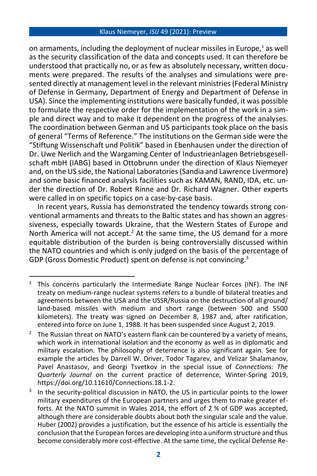on armaments, including the deployment of nuclear missiles in Europe.<sup>1</sup> as well as the security classification of the data and concepts used. It can therefore be understood that practically no, or as few as absolutely necessary, written documents were prepared. The results of the analyses and simulations were presented directly at management level in the relevant ministries (Federal Ministry of Defense in Germany, Department of Energy and Department of Defense in USA). Since the implementing institutions were basically funded, it was possible to formulate the respective order for the implementation of the work in a simple and direct way and to make it dependent on the progress of the analyses. The coordination between German and US participants took place on the basis of general "Terms of Reference." The institutions on the German side were the "Stiftung Wissenschaft und Politik" based in Ebenhausen under the direction of Dr. Uwe Nerlich and the Wargaming Center of Industrieanlagen Betriebsgesellschaft mbH (IABG) based in Ottobrunn under the direction of Klaus Niemeyer and, on the US side, the National Laboratories (Sandia and Lawrence Livermore) and some basic financed analysis facilities such as KAMAN, RAND, IDA, etc. under the direction of Dr. Robert Rinne and Dr. Richard Wagner. Other experts were called in on specific topics on a case-by-case basis.

In recent years, Russia has demonstrated the tendency towards strong conventional armaments and threats to the Baltic states and has shown an aggressiveness, especially towards Ukraine, that the Western States of Europe and North America will not accept.<sup>2</sup> At the same time, the US demand for a more equitable distribution of the burden is being controversially discussed within the NATO countries and which is only judged on the basis of the percentage of GDP (Gross Domestic Product) spent on defense is not convincing.<sup>3</sup>

 $1$  This concerns particularly the Intermediate Range Nuclear Forces (INF). The INF treaty on medium-range nuclear systems refers to a bundle of bilateral treaties and agreements between the USA and the USSR/Russia on the destruction of all ground/ land-based missiles with medium and short range (between 500 and 5500 kilometers). The treaty was signed on December 8, 1987 and, after ratification, entered into force on June 1, 1988. It has been suspended since August 2, 2019.

The Russian threat on NATO's eastern flank can be countered by a variety of means, which work in international isolation and the economy as well as in diplomatic and military escalation. The philosophy of deterrence is also significant again. See for example the articles by Darrell W. Driver, Todor Tagarev, and Velizar Shalamanov, Pavel Anastasov, and Georgi Tsvetkov in the special issue of *Connections: The Quarterly Journal* on the current practice of deterrence, Winter-Spring 2019, [https://doi.org/10.11610/C](https://doi.org/10.11610/)onnections.18.1-2.

<sup>3</sup> In the security-political discussion in NATO, the US in particular points to the lower military expenditures of the European partners and urges them to make greater efforts. At the NATO summit in Wales 2014, the effort of 2 % of GDP was accepted, although there are considerable doubts about both the singular scale and the value. Huber (2002) provides a justification, but the essence of his article is essentially the conclusion that the European forces are developing into a uniform structure and thus become considerably more cost-effective. At the same time, the cyclical Defense Re-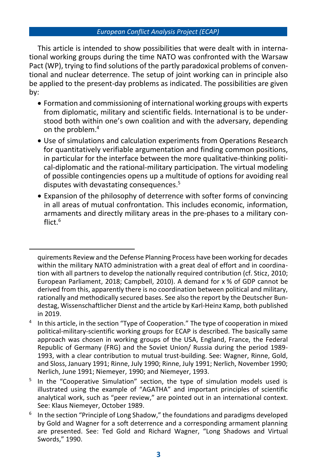This article is intended to show possibilities that were dealt with in international working groups during the time NATO was confronted with the Warsaw Pact (WP), trying to find solutions of the partly paradoxical problems of conventional and nuclear deterrence. The setup of joint working can in principle also be applied to the present-day problems as indicated. The possibilities are given by:

- Formation and commissioning of international working groups with experts from diplomatic, military and scientific fields. International is to be understood both within one's own coalition and with the adversary, depending on the problem.<sup>4</sup>
- Use of simulations and calculation experiments from Operations Research for quantitatively verifiable argumentation and finding common positions, in particular for the interface between the more qualitative-thinking political-diplomatic and the rational-military participation. The virtual modeling of possible contingencies opens up a multitude of options for avoiding real disputes with devastating consequences.<sup>5</sup>
- Expansion of the philosophy of deterrence with softer forms of convincing in all areas of mutual confrontation. This includes economic, information, armaments and directly military areas in the pre-phases to a military conflict  $6$

quirements Review and the Defense Planning Process have been working for decades within the military NATO administration with a great deal of effort and in coordination with all partners to develop the nationally required contribution (cf. Sticz, 2010; European Parliament, 2018; Campbell, 2010). A demand for x % of GDP cannot be derived from this, apparently there is no coordination between political and military, rationally and methodically secured bases. See also the report by the Deutscher Bundestag, Wissenschaftlicher Dienst and the article by Karl-Heinz Kamp, both published in 2019.

<sup>4</sup> In this article, in the section "Type of Cooperation." The type of cooperation in mixed political-military-scientific working groups for ECAP is described. The basically same approach was chosen in working groups of the USA, England, France, the Federal Republic of Germany (FRG) and the Soviet Union/ Russia during the period 1989- 1993, with a clear contribution to mutual trust-building. See: Wagner, Rinne, Gold, and Sloss, January 1991; Rinne, July 1990; Rinne, July 1991; Nerlich, November 1990; Nerlich, June 1991; Niemeyer, 1990; and Niemeyer, 1993.

<sup>5</sup> In the "Cooperative Simulation" section, the type of simulation models used is illustrated using the example of "AGATHA" and important principles of scientific analytical work, such as "peer review," are pointed out in an international context. See: Klaus Niemeyer, October 1989.

<sup>6</sup> In the section "Principle of Long Shadow," the foundations and paradigms developed by Gold and Wagner for a soft deterrence and a corresponding armament planning are presented. See: Ted Gold and Richard Wagner, "Long Shadows and Virtual Swords," 1990.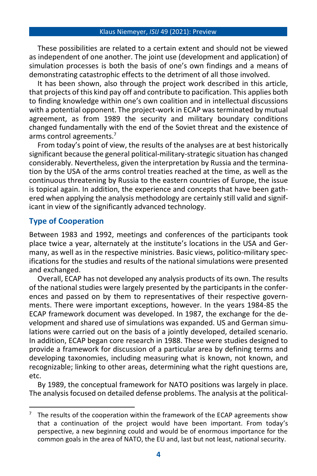These possibilities are related to a certain extent and should not be viewed as independent of one another. The joint use (development and application) of simulation processes is both the basis of one's own findings and a means of demonstrating catastrophic effects to the detriment of all those involved.

It has been shown, also through the project work described in this article, that projects of this kind pay off and contribute to pacification. This applies both to finding knowledge within one's own coalition and in intellectual discussions with a potential opponent. The project-work in ECAP was terminated by mutual agreement, as from 1989 the security and military boundary conditions changed fundamentally with the end of the Soviet threat and the existence of arms control agreements.<sup>7</sup>

From today's point of view, the results of the analyses are at best historically significant because the general political-military-strategic situation has changed considerably. Nevertheless, given the interpretation by Russia and the termination by the USA of the arms control treaties reached at the time, as well as the continuous threatening by Russia to the eastern countries of Europe, the issue is topical again. In addition, the experience and concepts that have been gathered when applying the analysis methodology are certainly still valid and significant in view of the significantly advanced technology.

### **Type of Cooperation**

Between 1983 and 1992, meetings and conferences of the participants took place twice a year, alternately at the institute's locations in the USA and Germany, as well as in the respective ministries. Basic views, politico-military specifications for the studies and results of the national simulations were presented and exchanged.

Overall, ECAP has not developed any analysis products of its own. The results of the national studies were largely presented by the participants in the conferences and passed on by them to representatives of their respective governments. There were important exceptions, however. In the years 1984-85 the ECAP framework document was developed. In 1987, the exchange for the development and shared use of simulations was expanded. US and German simulations were carried out on the basis of a jointly developed, detailed scenario. In addition, ECAP began core research in 1988. These were studies designed to provide a framework for discussion of a particular area by defining terms and developing taxonomies, including measuring what is known, not known, and recognizable; linking to other areas, determining what the right questions are, etc.

By 1989, the conceptual framework for NATO positions was largely in place. The analysis focused on detailed defense problems. The analysis at the political-

The results of the cooperation within the framework of the ECAP agreements show that a continuation of the project would have been important. From today's perspective, a new beginning could and would be of enormous importance for the common goals in the area of NATO, the EU and, last but not least, national security.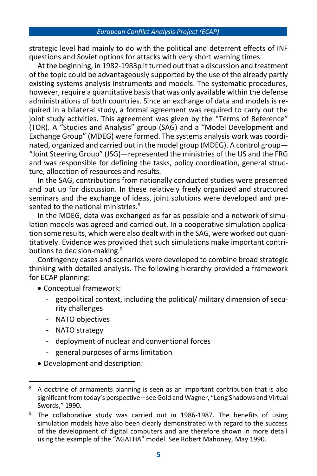strategic level had mainly to do with the political and deterrent effects of INF questions and Soviet options for attacks with very short warning times.

At the beginning, in 1982-1983р it turned out that a discussion and treatment of the topic could be advantageously supported by the use of the already partly existing systems analysis instruments and models. The systematic procedures, however, require a quantitative basis that was only available within the defense administrations of both countries. Since an exchange of data and models is required in a bilateral study, a formal agreement was required to carry out the ioint study activities. This agreement was given by the "Terms of Reference" (TOR). A "Studies and Analysis" group (SAG) and a "Model Development and Exchange Group" (MDEG) were formed. The systems analysis work was coordinated, organized and carried out in the model group (MDEG). A control group— "Joint Steering Group" (JSG)—represented the ministries of the US and the FRG and was responsible for defining the tasks, policy coordination, general structure, allocation of resources and results.

In the SAG, contributions from nationally conducted studies were presented and put up for discussion. In these relatively freely organized and structured seminars and the exchange of ideas, joint solutions were developed and presented to the national ministries.<sup>8</sup>

In the MDEG, data was exchanged as far as possible and a network of simulation models was agreed and carried out. In a cooperative simulation application some results, which were also dealt with in the SAG, were worked out quantitatively. Evidence was provided that such simulations make important contributions to decision-making.<sup>9</sup>

Contingency cases and scenarios were developed to combine broad strategic thinking with detailed analysis. The following hierarchy provided a framework for ECAP planning:

- Conceptual framework:
	- geopolitical context, including the political/ military dimension of security challenges
	- NATO objectives
	- NATO strategy
	- deployment of nuclear and conventional forces
	- general purposes of arms limitation
- Development and description:

<sup>8</sup> A doctrine of armaments planning is seen as an important contribution that is also significant from today's perspective – see Gold and Wagner, "Long Shadows and Virtual Swords," 1990.

The collaborative study was carried out in 1986-1987. The benefits of using simulation models have also been clearly demonstrated with regard to the success of the development of digital computers and are therefore shown in more detail using the example of the "AGATHA" model. See Robert Mahoney, May 1990.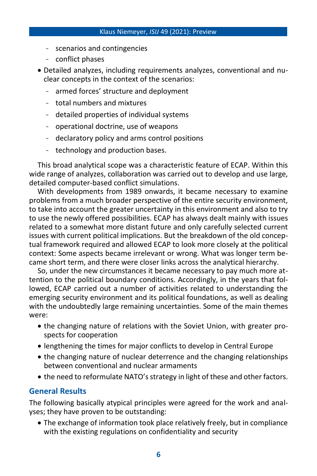- scenarios and contingencies
- conflict phases
- Detailed analyzes, including requirements analyzes, conventional and nuclear concepts in the context of the scenarios:
	- armed forces' structure and deployment
	- total numbers and mixtures
	- detailed properties of individual systems
	- operational doctrine, use of weapons
	- declaratory policy and arms control positions
	- technology and production bases.

This broad analytical scope was a characteristic feature of ECAP. Within this wide range of analyzes, collaboration was carried out to develop and use large, detailed computer-based conflict simulations.

With developments from 1989 onwards, it became necessary to examine problems from a much broader perspective of the entire security environment, to take into account the greater uncertainty in this environment and also to try to use the newly offered possibilities. ECAP has always dealt mainly with issues related to a somewhat more distant future and only carefully selected current issues with current political implications. But the breakdown of the old conceptual framework required and allowed ECAP to look more closely at the political context: Some aspects became irrelevant or wrong. What was longer term became short term, and there were closer links across the analytical hierarchy.

So, under the new circumstances it became necessary to pay much more attention to the political boundary conditions. Accordingly, in the years that followed, ECAP carried out a number of activities related to understanding the emerging security environment and its political foundations, as well as dealing with the undoubtedly large remaining uncertainties. Some of the main themes were:

- the changing nature of relations with the Soviet Union, with greater prospects for cooperation
- lengthening the times for major conflicts to develop in Central Europe
- the changing nature of nuclear deterrence and the changing relationships between conventional and nuclear armaments
- the need to reformulate NATO's strategy in light of these and other factors.

### **General Results**

The following basically atypical principles were agreed for the work and analyses; they have proven to be outstanding:

• The exchange of information took place relatively freely, but in compliance with the existing regulations on confidentiality and security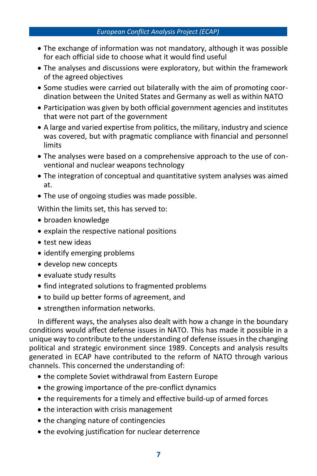- The exchange of information was not mandatory, although it was possible for each official side to choose what it would find useful
- The analyses and discussions were exploratory, but within the framework of the agreed objectives
- Some studies were carried out bilaterally with the aim of promoting coordination between the United States and Germany as well as within NATO
- Participation was given by both official government agencies and institutes that were not part of the government
- A large and varied expertise from politics, the military, industry and science was covered, but with pragmatic compliance with financial and personnel limits
- The analyses were based on a comprehensive approach to the use of conventional and nuclear weapons technology
- The integration of conceptual and quantitative system analyses was aimed at.
- The use of ongoing studies was made possible.

Within the limits set, this has served to:

- broaden knowledge
- explain the respective national positions
- test new ideas
- identify emerging problems
- develop new concepts
- evaluate study results
- find integrated solutions to fragmented problems
- to build up better forms of agreement, and
- strengthen information networks.

In different ways, the analyses also dealt with how a change in the boundary conditions would affect defense issues in NATO. This has made it possible in a unique way to contribute to the understanding of defense issues in the changing political and strategic environment since 1989. Concepts and analysis results generated in ECAP have contributed to the reform of NATO through various channels. This concerned the understanding of:

- the complete Soviet withdrawal from Eastern Europe
- the growing importance of the pre-conflict dynamics
- the requirements for a timely and effective build-up of armed forces
- the interaction with crisis management
- the changing nature of contingencies
- the evolving justification for nuclear deterrence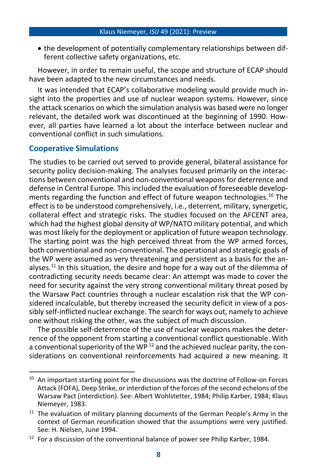• the development of potentially complementary relationships between different collective safety organizations, etc.

However, in order to remain useful, the scope and structure of ECAP should have been adapted to the new circumstances and needs.

It was intended that ECAP's collaborative modeling would provide much insight into the properties and use of nuclear weapon systems. However, since the attack scenarios on which the simulation analysis was based were no longer relevant, the detailed work was discontinued at the beginning of 1990. However, all parties have learned a lot about the interface between nuclear and conventional conflict in such simulations.

### **Cooperative Simulations**

The studies to be carried out served to provide general, bilateral assistance for security policy decision-making. The analyses focused primarily on the interactions between conventional and non-conventional weapons for deterrence and defense in Central Europe. This included the evaluation of foreseeable developments regarding the function and effect of future weapon technologies.<sup>10</sup> The effect is to be understood comprehensively, i.e., deterrent, military, synergetic, collateral effect and strategic risks. The studies focused on the AFCENT area, which had the highest global density of WP/NATO military potential, and which was most likely for the deployment or application of future weapon technology. The starting point was the high perceived threat from the WP armed forces, both conventional and non-conventional. The operational and strategic goals of the WP were assumed as very threatening and persistent as a basis for the analyses.<sup>11</sup> In this situation, the desire and hope for a way out of the dilemma of contradicting security needs became clear: An attempt was made to cover the need for security against the very strong conventional military threat posed by the Warsaw Pact countries through a nuclear escalation risk that the WP considered incalculable, but thereby increased the security deficit in view of a possibly self-inflicted nuclear exchange. The search for ways out, namely to achieve one without risking the other, was the subject of much discussion.

The possible self-deterrence of the use of nuclear weapons makes the deterrence of the opponent from starting a conventional conflict questionable. With a conventional superiority of the WP  $^{12}$  and the achieved nuclear parity, the considerations on conventional reinforcements had acquired a new meaning. It

 $10$  An important starting point for the discussions was the doctrine of Follow-on Forces Attack (FOFA), Deep Strike, or interdiction of the forces of the second echelons of the Warsaw Pact (interdiction). See: Albert Wohlstetter, 1984; Philip Karber, 1984; Klaus Niemeyer, 1983.

<sup>&</sup>lt;sup>11</sup> The evaluation of military planning documents of the German People's Army in the context of German reunification showed that the assumptions were very justified. See: H. Nielsen, June 1994.

 $12$  For a discussion of the conventional balance of power see Philip Karber, 1984.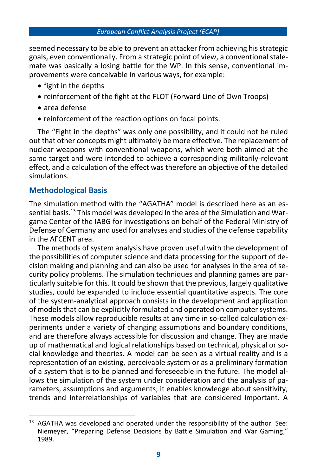seemed necessary to be able to prevent an attacker from achieving his strategic goals, even conventionally. From a strategic point of view, a conventional stalemate was basically a losing battle for the WP. In this sense, conventional improvements were conceivable in various ways, for example:

- fight in the depths
- reinforcement of the fight at the FLOT (Forward Line of Own Troops)
- area defense
- reinforcement of the reaction options on focal points.

The "Fight in the depths" was only one possibility, and it could not be ruled out that other concepts might ultimately be more effective. The replacement of nuclear weapons with conventional weapons, which were both aimed at the same target and were intended to achieve a corresponding militarily-relevant effect, and a calculation of the effect was therefore an objective of the detailed simulations.

### **Methodological Basis**

The simulation method with the "AGATHA" model is described here as an essential basis.<sup>13</sup> This model was developed in the area of the Simulation and Wargame Center of the IABG for investigations on behalf of the Federal Ministry of Defense of Germany and used for analyses and studies of the defense capability in the AFCENT area.

The methods of system analysis have proven useful with the development of the possibilities of computer science and data processing for the support of decision making and planning and can also be used for analyses in the area of security policy problems. The simulation techniques and planning games are particularly suitable for this. It could be shown that the previous, largely qualitative studies, could be expanded to include essential quantitative aspects. The core of the system-analytical approach consists in the development and application of models that can be explicitly formulated and operated on computer systems. These models allow reproducible results at any time in so-called calculation experiments under a variety of changing assumptions and boundary conditions, and are therefore always accessible for discussion and change. They are made up of mathematical and logical relationships based on technical, physical or social knowledge and theories. A model can be seen as a virtual reality and is a representation of an existing, perceivable system or as a preliminary formation of a system that is to be planned and foreseeable in the future. The model allows the simulation of the system under consideration and the analysis of parameters, assumptions and arguments; it enables knowledge about sensitivity, trends and interrelationships of variables that are considered important. A

 $13$  AGATHA was developed and operated under the responsibility of the author. See: Niemeyer, "Preparing Defense Decisions by Battle Simulation and War Gaming," 1989.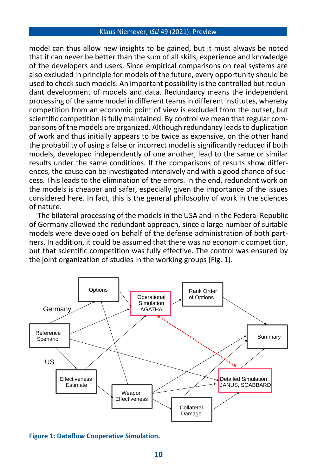model can thus allow new insights to be gained, but it must always be noted that it can never be better than the sum of all skills, experience and knowledge of the developers and users. Since empirical comparisons on real systems are also excluded in principle for models of the future, every opportunity should be used to check such models. An important possibility is the controlled but redundant development of models and data. Redundancy means the independent processing of the same model in different teams in different institutes, whereby competition from an economic point of view is excluded from the outset, but scientific competition is fully maintained. By control we mean that regular comparisons of the models are organized. Although redundancy leads to duplication of work and thus initially appears to be twice as expensive, on the other hand the probability of using a false or incorrect model is significantly reduced if both models, developed independently of one another, lead to the same or similar results under the same conditions. If the comparisons of results show differences, the cause can be investigated intensively and with a good chance of success. This leads to the elimination of the errors. In the end, redundant work on the models is cheaper and safer, especially given the importance of the issues considered here. In fact, this is the general philosophy of work in the sciences of nature.

The bilateral processing of the models in the USA and in the Federal Republic of Germany allowed the redundant approach, since a large number of suitable models were developed on behalf of the defense administration of both partners. In addition, it could be assumed that there was no economic competition, but that scientific competition was fully effective. The control was ensured by the joint organization of studies in the working groups (Fig. 1).



**Figure 1: Dataflow Cooperative Simulation.**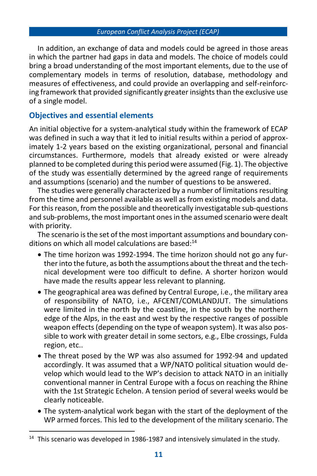In addition, an exchange of data and models could be agreed in those areas in which the partner had gaps in data and models. The choice of models could bring a broad understanding of the most important elements, due to the use of complementary models in terms of resolution, database, methodology and measures of effectiveness, and could provide an overlapping and self-reinforcing framework that provided significantly greater insights than the exclusive use of a single model.

### **Objectives and essential elements**

An initial objective for a system-analytical study within the framework of ECAP was defined in such a way that it led to initial results within a period of approximately 1-2 years based on the existing organizational, personal and financial circumstances. Furthermore, models that already existed or were already planned to be completed during this period were assumed (Fig. 1). The objective of the study was essentially determined by the agreed range of requirements and assumptions (scenario) and the number of questions to be answered.

The studies were generally characterized by a number of limitations resulting from the time and personnel available as well as from existing models and data. For this reason, from the possible and theoretically investigatable sub-questions and sub-problems, the most important ones in the assumed scenario were dealt with priority.

The scenario is the set of the most important assumptions and boundary conditions on which all model calculations are based: $14$ 

- The time horizon was 1992-1994. The time horizon should not go any further into the future, as both the assumptions about the threat and the technical development were too difficult to define. A shorter horizon would have made the results appear less relevant to planning.
- The geographical area was defined by Central Europe, i.e., the military area of responsibility of NATO, i.e., AFCENT/COMLANDJUT. The simulations were limited in the north by the coastline, in the south by the northern edge of the Alps, in the east and west by the respective ranges of possible weapon effects (depending on the type of weapon system). It was also possible to work with greater detail in some sectors, e.g., Elbe crossings, Fulda region, etc..
- The threat posed by the WP was also assumed for 1992-94 and updated accordingly. It was assumed that a WP/NATO political situation would develop which would lead to the WP's decision to attack NATO in an initially conventional manner in Central Europe with a focus on reaching the Rhine with the 1st Strategic Echelon. A tension period of several weeks would be clearly noticeable.
- The system-analytical work began with the start of the deployment of the WP armed forces. This led to the development of the military scenario. The

<sup>&</sup>lt;sup>14</sup> This scenario was developed in 1986-1987 and intensively simulated in the study.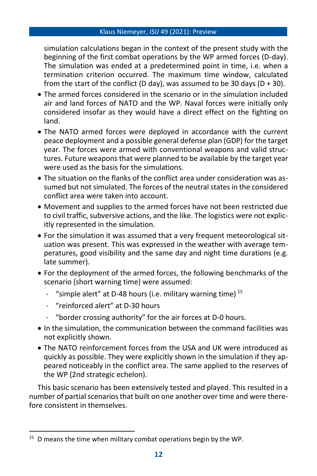simulation calculations began in the context of the present study with the beginning of the first combat operations by the WP armed forces (D-day). The simulation was ended at a predetermined point in time, i.e. when a termination criterion occurred. The maximum time window, calculated from the start of the conflict (D day), was assumed to be 30 days (D + 30).

- The armed forces considered in the scenario or in the simulation included air and land forces of NATO and the WP. Naval forces were initially only considered insofar as they would have a direct effect on the fighting on land.
- The NATO armed forces were deployed in accordance with the current peace deployment and a possible general defense plan (GDP) for the target year. The forces were armed with conventional weapons and valid structures. Future weapons that were planned to be available by the target year were used as the basis for the simulations.
- The situation on the flanks of the conflict area under consideration was assumed but not simulated. The forces of the neutral states in the considered conflict area were taken into account.
- Movement and supplies to the armed forces have not been restricted due to civil traffic, subversive actions, and the like. The logistics were not explicitly represented in the simulation.
- For the simulation it was assumed that a very frequent meteorological situation was present. This was expressed in the weather with average temperatures, good visibility and the same day and night time durations (e.g. late summer).
- For the deployment of the armed forces, the following benchmarks of the scenario (short warning time) were assumed:
	- "simple alert" at D-48 hours (i.e. military warning time)  $15$
	- "reinforced alert" at D-30 hours
	- "border crossing authority" for the air forces at D-0 hours.
- In the simulation, the communication between the command facilities was not explicitly shown.
- The NATO reinforcement forces from the USA and UK were introduced as quickly as possible. They were explicitly shown in the simulation if they appeared noticeably in the conflict area. The same applied to the reserves of the WP (2nd strategic echelon).

This basic scenario has been extensively tested and played. This resulted in a number of partial scenarios that built on one another over time and were therefore consistent in themselves.

<sup>&</sup>lt;sup>15</sup> D means the time when military combat operations begin by the WP.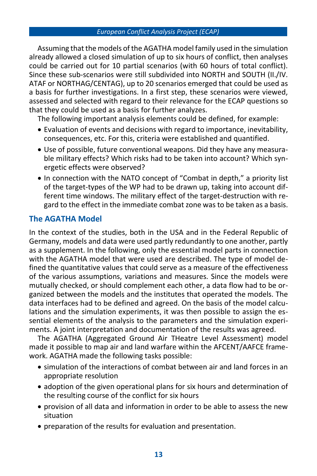Assuming that the models of the AGATHA model family used in the simulation already allowed a closed simulation of up to six hours of conflict, then analyses could be carried out for 10 partial scenarios (with 60 hours of total conflict). Since these sub-scenarios were still subdivided into NORTH and SOUTH (II./IV. ATAF or NORTHAG/CENTAG), up to 20 scenarios emerged that could be used as a basis for further investigations. In a first step, these scenarios were viewed, assessed and selected with regard to their relevance for the ECAP questions so that they could be used as a basis for further analyzes.

The following important analysis elements could be defined, for example:

- Evaluation of events and decisions with regard to importance, inevitability, consequences, etc. For this, criteria were established and quantified.
- Use of possible, future conventional weapons. Did they have any measurable military effects? Which risks had to be taken into account? Which synergetic effects were observed?
- In connection with the NATO concept of "Combat in depth," a priority list of the target-types of the WP had to be drawn up, taking into account different time windows. The military effect of the target-destruction with regard to the effect in the immediate combat zone was to be taken as a basis.

### **The AGATHA Model**

In the context of the studies, both in the USA and in the Federal Republic of Germany, models and data were used partly redundantly to one another, partly as a supplement. In the following, only the essential model parts in connection with the AGATHA model that were used are described. The type of model defined the quantitative values that could serve as a measure of the effectiveness of the various assumptions, variations and measures. Since the models were mutually checked, or should complement each other, a data flow had to be organized between the models and the institutes that operated the models. The data interfaces had to be defined and agreed. On the basis of the model calculations and the simulation experiments, it was then possible to assign the essential elements of the analysis to the parameters and the simulation experiments. A joint interpretation and documentation of the results was agreed.

The AGATHA (Aggregated Ground Air THeatre Level Assessment) model made it possible to map air and land warfare within the AFCENT/AAFCE framework. AGATHA made the following tasks possible:

- simulation of the interactions of combat between air and land forces in an appropriate resolution
- adoption of the given operational plans for six hours and determination of the resulting course of the conflict for six hours
- provision of all data and information in order to be able to assess the new situation
- preparation of the results for evaluation and presentation.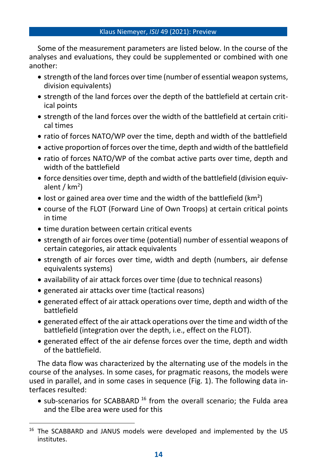Some of the measurement parameters are listed below. In the course of the analyses and evaluations, they could be supplemented or combined with one another:

- strength of the land forces over time (number of essential weapon systems, division equivalents)
- strength of the land forces over the depth of the battlefield at certain critical points
- strength of the land forces over the width of the battlefield at certain critical times
- ratio of forces NATO/WP over the time, depth and width of the battlefield
- active proportion of forces over the time, depth and width of the battlefield
- ratio of forces NATO/WP of the combat active parts over time, depth and width of the battlefield
- force densities over time, depth and width of the battlefield (division equivalent / km<sup>2</sup>)
- lost or gained area over time and the width of the battlefield ( $km^2$ )
- course of the FLOT (Forward Line of Own Troops) at certain critical points in time
- time duration between certain critical events
- strength of air forces over time (potential) number of essential weapons of certain categories, air attack equivalents
- strength of air forces over time, width and depth (numbers, air defense equivalents systems)
- availability of air attack forces over time (due to technical reasons)
- generated air attacks over time (tactical reasons)
- generated effect of air attack operations over time, depth and width of the battlefield
- generated effect of the air attack operations over the time and width of the battlefield (integration over the depth, i.e., effect on the FLOT).
- generated effect of the air defense forces over the time, depth and width of the battlefield.

The data flow was characterized by the alternating use of the models in the course of the analyses. In some cases, for pragmatic reasons, the models were used in parallel, and in some cases in sequence (Fig. 1). The following data interfaces resulted:

• sub-scenarios for SCABBARD  $16$  from the overall scenario; the Fulda area and the Elbe area were used for this

<sup>&</sup>lt;sup>16</sup> The SCABBARD and JANUS models were developed and implemented by the US institutes.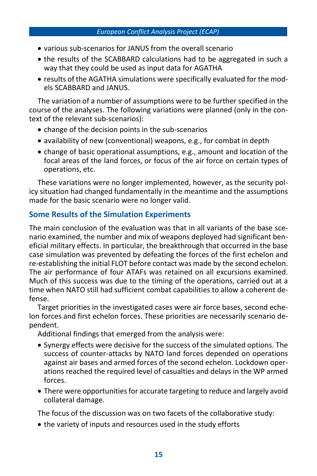- various sub-scenarios for JANUS from the overall scenario
- the results of the SCABBARD calculations had to be aggregated in such a way that they could be used as input data for AGATHA
- results of the AGATHA simulations were specifically evaluated for the models SCABBARD and JANUS.

The variation of a number of assumptions were to be further specified in the course of the analyses. The following variations were planned (only in the context of the relevant sub-scenarios):

- change of the decision points in the sub-scenarios
- availability of new (conventional) weapons, e.g., for combat in depth
- change of basic operational assumptions, e.g., amount and location of the focal areas of the land forces, or focus of the air force on certain types of operations, etc.

These variations were no longer implemented, however, as the security policy situation had changed fundamentally in the meantime and the assumptions made for the basic scenario were no longer valid.

### **Some Results of the Simulation Experiments**

The main conclusion of the evaluation was that in all variants of the base scenario examined, the number and mix of weapons deployed had significant beneficial military effects. In particular, the breakthrough that occurred in the base case simulation was prevented by defeating the forces of the first echelon and re-establishing the initial FLOT before contact was made by the second echelon. The air performance of four ATAFs was retained on all excursions examined. Much of this success was due to the timing of the operations, carried out at a time when NATO still had sufficient combat capabilities to allow a coherent defense.

Target priorities in the investigated cases were air force bases, second echelon forces and first echelon forces. These priorities are necessarily scenario dependent.

Additional findings that emerged from the analysis were:

- Synergy effects were decisive for the success of the simulated options. The success of counter-attacks by NATO land forces depended on operations against air bases and armed forces of the second echelon. Lockdown operations reached the required level of casualties and delays in the WP armed forces.
- There were opportunities for accurate targeting to reduce and largely avoid collateral damage.

The focus of the discussion was on two facets of the collaborative study:

• the variety of inputs and resources used in the study efforts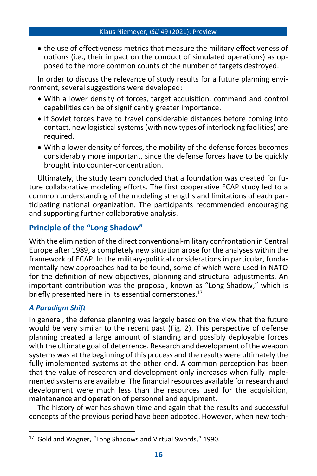• the use of effectiveness metrics that measure the military effectiveness of options (i.e., their impact on the conduct of simulated operations) as opposed to the more common counts of the number of targets destroyed.

In order to discuss the relevance of study results for a future planning environment, several suggestions were developed:

- With a lower density of forces, target acquisition, command and control capabilities can be of significantly greater importance.
- If Soviet forces have to travel considerable distances before coming into contact, new logistical systems (with new types of interlocking facilities) are required.
- With a lower density of forces, the mobility of the defense forces becomes considerably more important, since the defense forces have to be quickly brought into counter-concentration.

Ultimately, the study team concluded that a foundation was created for future collaborative modeling efforts. The first cooperative ECAP study led to a common understanding of the modeling strengths and limitations of each participating national organization. The participants recommended encouraging and supporting further collaborative analysis.

# **Principle of the "Long Shadow"**

With the elimination of the direct conventional-military confrontation in Central Europe after 1989, a completely new situation arose for the analyses within the framework of ECAP. In the military-political considerations in particular, fundamentally new approaches had to be found, some of which were used in NATO for the definition of new objectives, planning and structural adjustments. An important contribution was the proposal, known as "Long Shadow," which is briefly presented here in its essential cornerstones.<sup>17</sup>

### *A Paradigm Shift*

In general, the defense planning was largely based on the view that the future would be very similar to the recent past (Fig. 2). This perspective of defense planning created a large amount of standing and possibly deployable forces with the ultimate goal of deterrence. Research and development of the weapon systems was at the beginning of this process and the results were ultimately the fully implemented systems at the other end. A common perception has been that the value of research and development only increases when fully implemented systems are available. The financial resources available for research and development were much less than the resources used for the acquisition, maintenance and operation of personnel and equipment.

The history of war has shown time and again that the results and successful concepts of the previous period have been adopted. However, when new tech-

<sup>&</sup>lt;sup>17</sup> Gold and Wagner, "Long Shadows and Virtual Swords," 1990.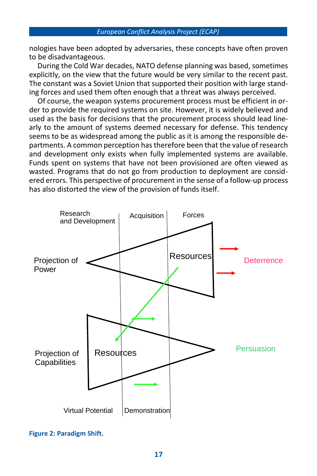nologies have been adopted by adversaries, these concepts have often proven to be disadvantageous.

During the Cold War decades, NATO defense planning was based, sometimes explicitly, on the view that the future would be very similar to the recent past. The constant was a Soviet Union that supported their position with large standing forces and used them often enough that a threat was always perceived.

Of course, the weapon systems procurement process must be efficient in order to provide the required systems on site. However, it is widely believed and used as the basis for decisions that the procurement process should lead linearly to the amount of systems deemed necessary for defense. This tendency seems to be as widespread among the public as it is among the responsible departments. A common perception has therefore been that the value of research and development only exists when fully implemented systems are available. Funds spent on systems that have not been provisioned are often viewed as wasted. Programs that do not go from production to deployment are considered errors. This perspective of procurement in the sense of a follow-up process has also distorted the view of the provision of funds itself.



**Figure 2: Paradigm Shift.**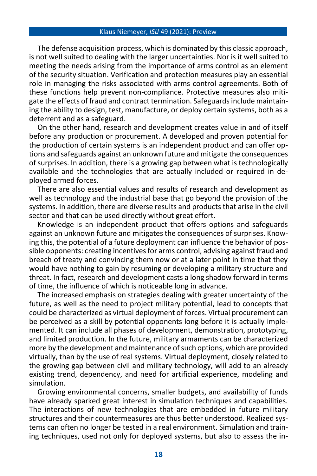The defense acquisition process, which is dominated by this classic approach, is not well suited to dealing with the larger uncertainties. Nor is it well suited to meeting the needs arising from the importance of arms control as an element of the security situation. Verification and protection measures play an essential role in managing the risks associated with arms control agreements. Both of these functions help prevent non-compliance. Protective measures also mitigate the effects of fraud and contract termination. Safeguards include maintaining the ability to design, test, manufacture, or deploy certain systems, both as a deterrent and as a safeguard.

On the other hand, research and development creates value in and of itself before any production or procurement. A developed and proven potential for the production of certain systems is an independent product and can offer options and safeguards against an unknown future and mitigate the consequences of surprises. In addition, there is a growing gap between what is technologically available and the technologies that are actually included or required in deployed armed forces.

There are also essential values and results of research and development as well as technology and the industrial base that go beyond the provision of the systems. In addition, there are diverse results and products that arise in the civil sector and that can be used directly without great effort.

Knowledge is an independent product that offers options and safeguards against an unknown future and mitigates the consequences of surprises. Knowing this, the potential of a future deployment can influence the behavior of possible opponents: creating incentives for arms control, advising against fraud and breach of treaty and convincing them now or at a later point in time that they would have nothing to gain by resuming or developing a military structure and threat. In fact, research and development casts a long shadow forward in terms of time, the influence of which is noticeable long in advance.

The increased emphasis on strategies dealing with greater uncertainty of the future, as well as the need to project military potential, lead to concepts that could be characterized as virtual deployment of forces. Virtual procurement can be perceived as a skill by potential opponents long before it is actually implemented. It can include all phases of development, demonstration, prototyping, and limited production. In the future, military armaments can be characterized more by the development and maintenance of such options, which are provided virtually, than by the use of real systems. Virtual deployment, closely related to the growing gap between civil and military technology, will add to an already existing trend, dependency, and need for artificial experience, modeling and simulation.

Growing environmental concerns, smaller budgets, and availability of funds have already sparked great interest in simulation techniques and capabilities. The interactions of new technologies that are embedded in future military structures and their countermeasures are thus better understood. Realized systems can often no longer be tested in a real environment. Simulation and training techniques, used not only for deployed systems, but also to assess the in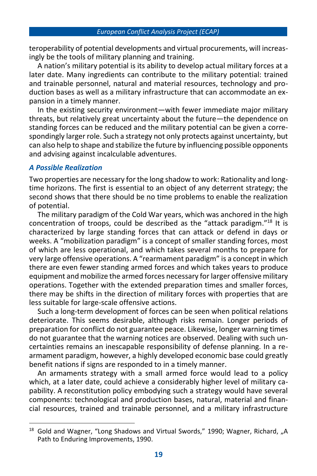teroperability of potential developments and virtual procurements, will increasingly be the tools of military planning and training.

A nation's military potential is its ability to develop actual military forces at a later date. Many ingredients can contribute to the military potential: trained and trainable personnel, natural and material resources, technology and production bases as well as a military infrastructure that can accommodate an expansion in a timely manner.

In the existing security environment—with fewer immediate major military threats, but relatively great uncertainty about the future—the dependence on standing forces can be reduced and the military potential can be given a correspondingly larger role. Such a strategy not only protects against uncertainty, but can also help to shape and stabilize the future by influencing possible opponents and advising against incalculable adventures.

### *A Possible Realization*

Two properties are necessary for the long shadow to work: Rationality and longtime horizons. The first is essential to an object of any deterrent strategy; the second shows that there should be no time problems to enable the realization of potential.

The military paradigm of the Cold War years, which was anchored in the high concentration of troops, could be described as the "attack paradigm." <sup>18</sup> It is characterized by large standing forces that can attack or defend in days or weeks. A "mobilization paradigm" is a concept of smaller standing forces, most of which are less operational, and which takes several months to prepare for very large offensive operations. A "rearmament paradigm" is a concept in which there are even fewer standing armed forces and which takes years to produce equipment and mobilize the armed forces necessary for larger offensive military operations. Together with the extended preparation times and smaller forces, there may be shifts in the direction of military forces with properties that are less suitable for large-scale offensive actions.

Such a long-term development of forces can be seen when political relations deteriorate. This seems desirable, although risks remain. Longer periods of preparation for conflict do not guarantee peace. Likewise, longer warning times do not guarantee that the warning notices are observed. Dealing with such uncertainties remains an inescapable responsibility of defense planning. In a rearmament paradigm, however, a highly developed economic base could greatly benefit nations if signs are responded to in a timely manner.

An armaments strategy with a small armed force would lead to a policy which, at a later date, could achieve a considerably higher level of military capability. A reconstitution policy embodying such a strategy would have several components: technological and production bases, natural, material and financial resources, trained and trainable personnel, and a military infrastructure

 $18$  Gold and Wagner, "Long Shadows and Virtual Swords," 1990; Wagner, Richard, "A Path to Enduring Improvements, 1990.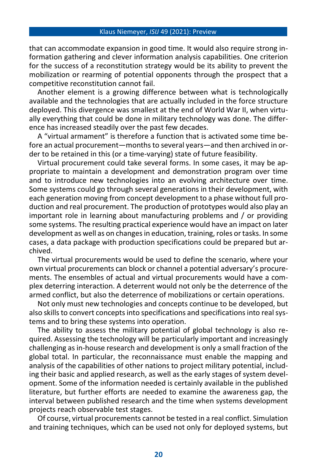that can accommodate expansion in good time. It would also require strong information gathering and clever information analysis capabilities. One criterion for the success of a reconstitution strategy would be its ability to prevent the mobilization or rearming of potential opponents through the prospect that a competitive reconstitution cannot fail.

Another element is a growing difference between what is technologically available and the technologies that are actually included in the force structure deployed. This divergence was smallest at the end of World War II, when virtually everything that could be done in military technology was done. The difference has increased steadily over the past few decades.

A "virtual armament" is therefore a function that is activated some time before an actual procurement—monthsto several years—and then archived in order to be retained in this (or a time-varying) state of future feasibility.

Virtual procurement could take several forms. In some cases, it may be appropriate to maintain a development and demonstration program over time and to introduce new technologies into an evolving architecture over time. Some systems could go through several generations in their development, with each generation moving from concept development to a phase without full production and real procurement. The production of prototypes would also play an important role in learning about manufacturing problems and / or providing some systems. The resulting practical experience would have an impact on later development as well as on changes in education, training, roles or tasks. In some cases, a data package with production specifications could be prepared but archived.

The virtual procurements would be used to define the scenario, where your own virtual procurements can block or channel a potential adversary's procurements. The ensembles of actual and virtual procurements would have a complex deterring interaction. A deterrent would not only be the deterrence of the armed conflict, but also the deterrence of mobilizations or certain operations.

Not only must new technologies and concepts continue to be developed, but also skills to convert concepts into specifications and specifications into real systems and to bring these systems into operation.

The ability to assess the military potential of global technology is also required. Assessing the technology will be particularly important and increasingly challenging as in-house research and development is only a small fraction of the global total. In particular, the reconnaissance must enable the mapping and analysis of the capabilities of other nations to project military potential, including their basic and applied research, as well as the early stages of system development. Some of the information needed is certainly available in the published literature, but further efforts are needed to examine the awareness gap, the interval between published research and the time when systems development projects reach observable test stages.

Of course, virtual procurements cannot be tested in a real conflict. Simulation and training techniques, which can be used not only for deployed systems, but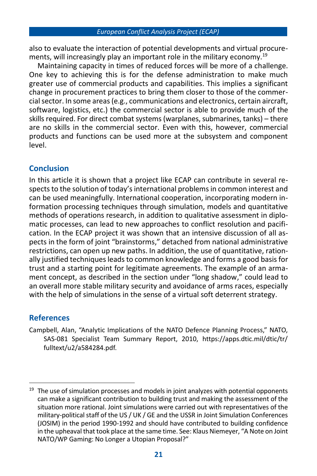also to evaluate the interaction of potential developments and virtual procurements, will increasingly play an important role in the military economy.<sup>19</sup>

Maintaining capacity in times of reduced forces will be more of a challenge. One key to achieving this is for the defense administration to make much greater use of commercial products and capabilities. This implies a significant change in procurement practices to bring them closer to those of the commercial sector. In some areas (e.g., communications and electronics, certain aircraft, software, logistics, etc.) the commercial sector is able to provide much of the skills required. For direct combat systems (warplanes, submarines, tanks) – there are no skills in the commercial sector. Even with this, however, commercial products and functions can be used more at the subsystem and component level.

### **Conclusion**

In this article it is shown that a project like ECAP can contribute in several respects to the solution of today's international problems in common interest and can be used meaningfully. International cooperation, incorporating modern information processing techniques through simulation, models and quantitative methods of operations research, in addition to qualitative assessment in diplomatic processes, can lead to new approaches to conflict resolution and pacification. In the ECAP project it was shown that an intensive discussion of all aspects in the form of joint "brainstorms," detached from national administrative restrictions, can open up new paths. In addition, the use of quantitative, rationally justified techniques leads to common knowledge and forms a good basis for trust and a starting point for legitimate agreements. The example of an armament concept, as described in the section under "long shadow," could lead to an overall more stable military security and avoidance of arms races, especially with the help of simulations in the sense of a virtual soft deterrent strategy.

## **References**

Campbell, Alan, "Analytic Implications of the NATO Defence Planning Process," NATO, SAS-081 Specialist Team Summary Report, 2010, [https://apps.dtic.mil/dtic/tr/](https://apps.dtic.mil/dtic/tr/fulltext/u2/a584284.pdf) [fulltext/u2/a584284.pdf.](https://apps.dtic.mil/dtic/tr/fulltext/u2/a584284.pdf)

 $19$  The use of simulation processes and models in joint analyzes with potential opponents can make a significant contribution to building trust and making the assessment of the situation more rational. Joint simulations were carried out with representatives of the military-political staff of the US / UK / GE and the USSR in Joint Simulation Conferences (JOSIM) in the period 1990-1992 and should have contributed to building confidence in the upheaval that took place at the same time. See: Klaus Niemeyer, "A Note on Joint NATO/WP Gaming: No Longer a Utopian Proposal?"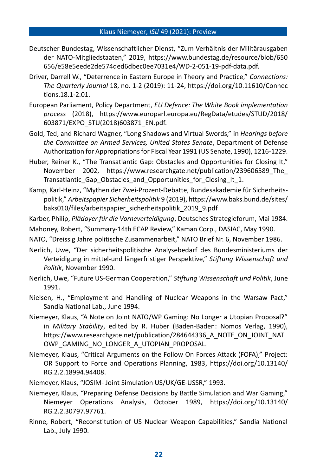- Deutscher Bundestag, Wissenschaftlicher Dienst, "Zum Verhältnis der Militärausgaben der NATO-Mitgliedstaaten," 2019, [https://www.bundestag.de/resource/blob/650](https://www.bundestag.de/resource/blob/650656/e58e5eede2de574ded6dbec0ee7031e4/WD-2-051-19-pdf-data.pdf) [656/e58e5eede2de574ded6dbec0ee7031e4/WD-2-051-19-pdf-data.pdf.](https://www.bundestag.de/resource/blob/650656/e58e5eede2de574ded6dbec0ee7031e4/WD-2-051-19-pdf-data.pdf)
- Driver, Darrell W., "Deterrence in Eastern Europe in Theory and Practice," *Connections: The Quarterly Journal* 18, no. 1-2 (2019): 11-24, [https://doi.org/10.11610/Connec](https://doi.org/10.11610/Connections.18.1-2.01) [tions.18.1-2.01.](https://doi.org/10.11610/Connections.18.1-2.01)
- European Parliament, Policy Department, *EU Defence: The White Book implementation process* (2018), [https://www.europarl.europa.eu/RegData/etudes/STUD/2018/](https://www.europarl.europa.eu/RegData/etudes/STUD/2018/603871/EXPO_STU(2018)603871_EN.pdf) [603871/EXPO\\_STU\(2018\)603871\\_EN.pdf.](https://www.europarl.europa.eu/RegData/etudes/STUD/2018/603871/EXPO_STU(2018)603871_EN.pdf)
- Gold, Ted, and Richard Wagner, "Long Shadows and Virtual Swords," in *Hearings before the Committee on Armed Services, United States Senate*, Department of Defense Authorization for Appropriations for Fiscal Year 1991 (US Senate, 1990), 1216-1229.
- Huber, Reiner K., "The Transatlantic Gap: Obstacles and Opportunities for Closing It," November 2002, [https://www.researchgate.net/publication/239606589\\_The\\_](https://www.researchgate.net/publication/239606589_The_%20Transatlantic_Gap_Obstacles_and_Opportunities_for_Closing_It_1) Transatlantic Gap Obstacles and Opportunities for Closing It 1.
- Kamp, Karl-Heinz, "Mythen der Zwei-Prozent-Debatte, Bundesakademie für Sicherheitspolitik," *Arbeitspapier Sicherheitspolitik* 9 (2019)[, https://www.baks.bund.de/sites/](https://www.baks.bund.de/sites/baks010/files/arbeitspapier_sicherheitspolitik_2019_9.pdf) [baks010/files/arbeitspapier\\_sicherheitspolitik\\_2019\\_9.pdf](https://www.baks.bund.de/sites/baks010/files/arbeitspapier_sicherheitspolitik_2019_9.pdf)
- Karber, Philip, *Plädoyer für die Vorneverteidigung*, Deutsches Strategieforum, Mai 1984.
- Mahoney, Robert, "Summary-14th ECAP Review," Kaman Corp., DASIAC, May 1990.
- NATO, "Dreissig Jahre politische Zusammenarbeit," NATO Brief Nr. 6, November 1986.
- Nerlich, Uwe, "Der sicherheitspolitische Analysebedarf des Bundesministeriums der Verteidigung in mittel-und längerfristiger Perspektive," *Stiftung Wissenschaft und Politik*, November 1990.
- Nerlich, Uwe, "Future US-German Cooperation," *Stiftung Wissenschaft und Politik*, June 1991.
- Nielsen, H., "Employment and Handling of Nuclear Weapons in the Warsaw Pact," Sandia National Lab., June 1994.
- Niemeyer, Klaus, "A Note on Joint NATO/WP Gaming: No Longer a Utopian Proposal?" in *Military Stability*, edited by R. Huber (Baden-Baden: Nomos Verlag, 1990), [https://www.researchgate.net/publication/284644336\\_A\\_NOTE\\_ON\\_JOINT\\_NAT](https://www.researchgate.net/publication/284644336_A_NOTE_ON_JOINT_NATOWP_GAMING_NO_LONGER_A_UTOPIAN_PROPOSAL) [OWP\\_GAMING\\_NO\\_LONGER\\_A\\_UTOPIAN\\_PROPOSAL.](https://www.researchgate.net/publication/284644336_A_NOTE_ON_JOINT_NATOWP_GAMING_NO_LONGER_A_UTOPIAN_PROPOSAL)
- Niemeyer, Klaus, "Critical Arguments on the Follow On Forces Attack (FOFA)," Project: OR Support to Force and Operations Planning, 1983, [https://doi.org/10.13140/](https://doi.org/10.13140/RG.2.2.18994.94408) [RG.2.2.18994.94408.](https://doi.org/10.13140/RG.2.2.18994.94408)
- Niemeyer, Klaus, "JOSIM- Joint Simulation US/UK/GE-USSR," 1993.
- Niemeyer, Klaus, "Preparing Defense Decisions by Battle Simulation and War Gaming," Niemeyer Operations Analysis, October 1989, [https://doi.org/10.13140/](https://doi.org/10.13140/%20RG.2.2.30797.97761) [RG.2.2.30797.97761.](https://doi.org/10.13140/%20RG.2.2.30797.97761)
- Rinne, Robert, "Reconstitution of US Nuclear Weapon Capabilities," Sandia National Lab., July 1990.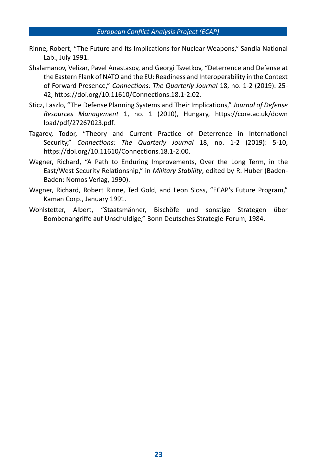- Rinne, Robert, "The Future and Its Implications for Nuclear Weapons," Sandia National Lab., July 1991.
- Shalamanov, Velizar, Pavel Anastasov, and Georgi Tsvetkov, "Deterrence and Defense at the Eastern Flank of NATO and the EU: Readiness and Interoperability in the Context of Forward Presence," *Connections: The Quarterly Journal* 18, no. 1-2 (2019): 25- 42, https://doi.org/10.11610/Connections.18.1-2.02.
- Sticz, Laszlo, "The Defense Planning Systems and Their Implications," *Journal of Defense Resources Management* 1, no. 1 (2010), Hungary, [https://core.ac.uk/down](https://core.ac.uk/download/pdf/27267023.pdf) [load/pdf/27267023.pdf.](https://core.ac.uk/download/pdf/27267023.pdf)
- Tagarev, Todor, "Theory and Current Practice of Deterrence in International Security," *Connections: The Quarterly Journal* 18, no. 1-2 (2019): 5-10, [https://doi.org/10.11610/Connections.18.1-2.00.](https://doi.org/10.11610/%20Connections.18.1-2.00)
- Wagner, Richard, "A Path to Enduring Improvements, Over the Long Term, in the East/West Security Relationship," in *Military Stability*, edited by R. Huber (Baden-Baden: Nomos Verlag, 1990).
- Wagner, Richard, Robert Rinne, Ted Gold, and Leon Sloss, "ECAP's Future Program," Kaman Corp., January 1991.
- Wohlstetter, Albert, "Staatsmänner, Bischöfe und sonstige Strategen über Bombenangriffe auf Unschuldige," Bonn Deutsches Strategie-Forum, 1984.